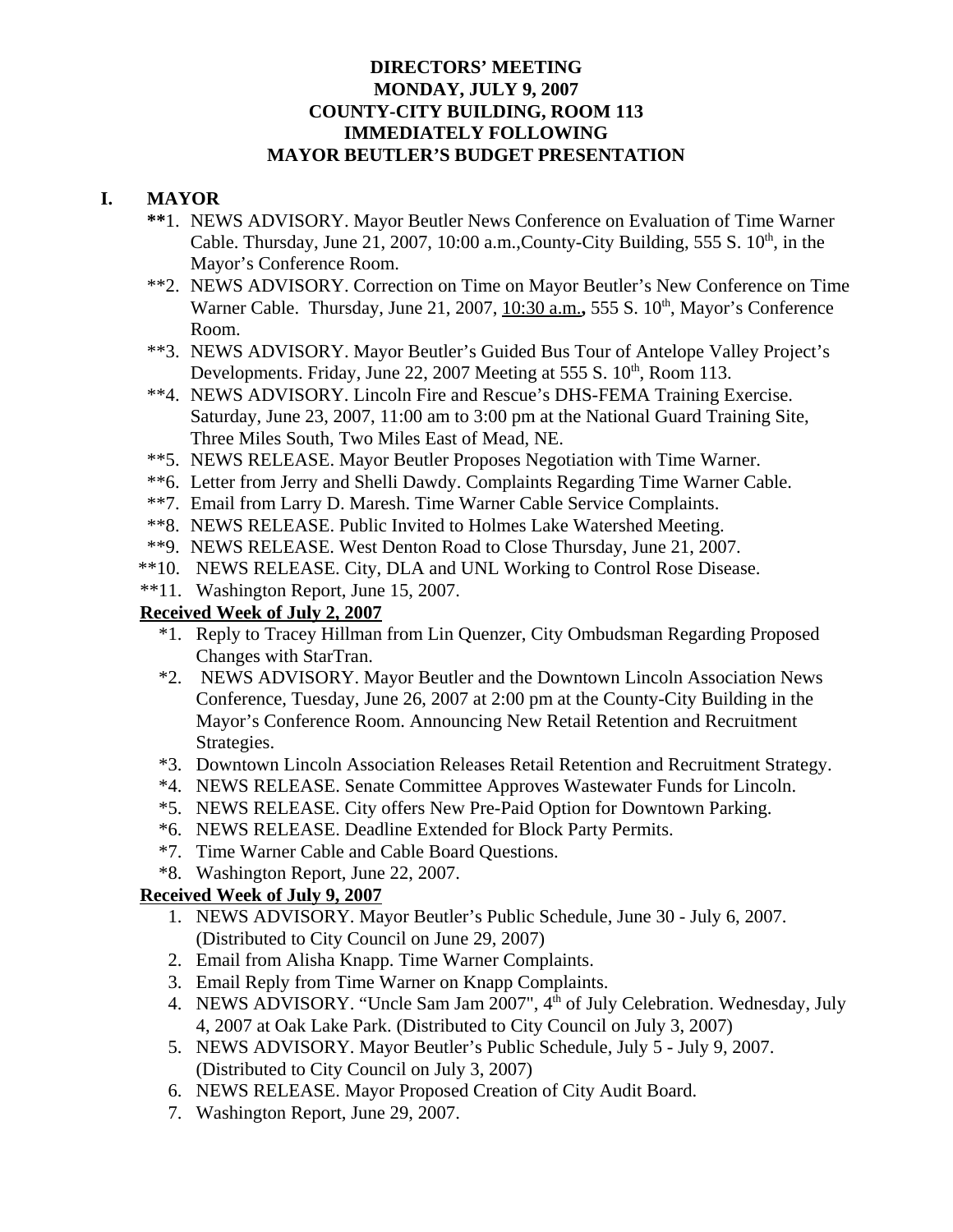#### **DIRECTORS' MEETING MONDAY, JULY 9, 2007 COUNTY-CITY BUILDING, ROOM 113 IMMEDIATELY FOLLOWING MAYOR BEUTLER'S BUDGET PRESENTATION**

#### **I. MAYOR**

- **\*\***1. NEWS ADVISORY. Mayor Beutler News Conference on Evaluation of Time Warner Cable. Thursday, June 21, 2007, 10:00 a.m., County-City Building, 555 S.  $10<sup>th</sup>$ , in the Mayor's Conference Room.
- \*\*2. NEWS ADVISORY. Correction on Time on Mayor Beutler's New Conference on Time Warner Cable. Thursday, June 21, 2007, 10:30 a.m., 555 S. 10<sup>th</sup>, Mayor's Conference Room.
- \*\*3. NEWS ADVISORY. Mayor Beutler's Guided Bus Tour of Antelope Valley Project's Developments. Friday, June 22, 2007 Meeting at 555 S.  $10^{th}$ , Room 113.
- \*\*4. NEWS ADVISORY. Lincoln Fire and Rescue's DHS-FEMA Training Exercise. Saturday, June 23, 2007, 11:00 am to 3:00 pm at the National Guard Training Site, Three Miles South, Two Miles East of Mead, NE.
- \*\*5. NEWS RELEASE. Mayor Beutler Proposes Negotiation with Time Warner.
- \*\*6. Letter from Jerry and Shelli Dawdy. Complaints Regarding Time Warner Cable.
- \*\*7. Email from Larry D. Maresh. Time Warner Cable Service Complaints.
- \*\*8. NEWS RELEASE. Public Invited to Holmes Lake Watershed Meeting.
- \*\*9. NEWS RELEASE. West Denton Road to Close Thursday, June 21, 2007.
- \*\*10. NEWS RELEASE. City, DLA and UNL Working to Control Rose Disease.
- \*\*11. Washington Report, June 15, 2007.

## **Received Week of July 2, 2007**

- \*1. Reply to Tracey Hillman from Lin Quenzer, City Ombudsman Regarding Proposed Changes with StarTran.
- \*2. NEWS ADVISORY. Mayor Beutler and the Downtown Lincoln Association News Conference, Tuesday, June 26, 2007 at 2:00 pm at the County-City Building in the Mayor's Conference Room. Announcing New Retail Retention and Recruitment Strategies.
- \*3. Downtown Lincoln Association Releases Retail Retention and Recruitment Strategy.
- \*4. NEWS RELEASE. Senate Committee Approves Wastewater Funds for Lincoln.
- \*5. NEWS RELEASE. City offers New Pre-Paid Option for Downtown Parking.
- \*6. NEWS RELEASE. Deadline Extended for Block Party Permits.
- \*7. Time Warner Cable and Cable Board Questions.
- \*8. Washington Report, June 22, 2007.

# **Received Week of July 9, 2007**

- 1. NEWS ADVISORY. Mayor Beutler's Public Schedule, June 30 July 6, 2007. (Distributed to City Council on June 29, 2007)
- 2. Email from Alisha Knapp. Time Warner Complaints.
- 3. Email Reply from Time Warner on Knapp Complaints.
- 4. NEWS ADVISORY. "Uncle Sam Jam 2007", 4<sup>th</sup> of July Celebration. Wednesday, July 4, 2007 at Oak Lake Park. (Distributed to City Council on July 3, 2007)
- 5. NEWS ADVISORY. Mayor Beutler's Public Schedule, July 5 July 9, 2007. (Distributed to City Council on July 3, 2007)
- 6. NEWS RELEASE. Mayor Proposed Creation of City Audit Board.
- 7. Washington Report, June 29, 2007.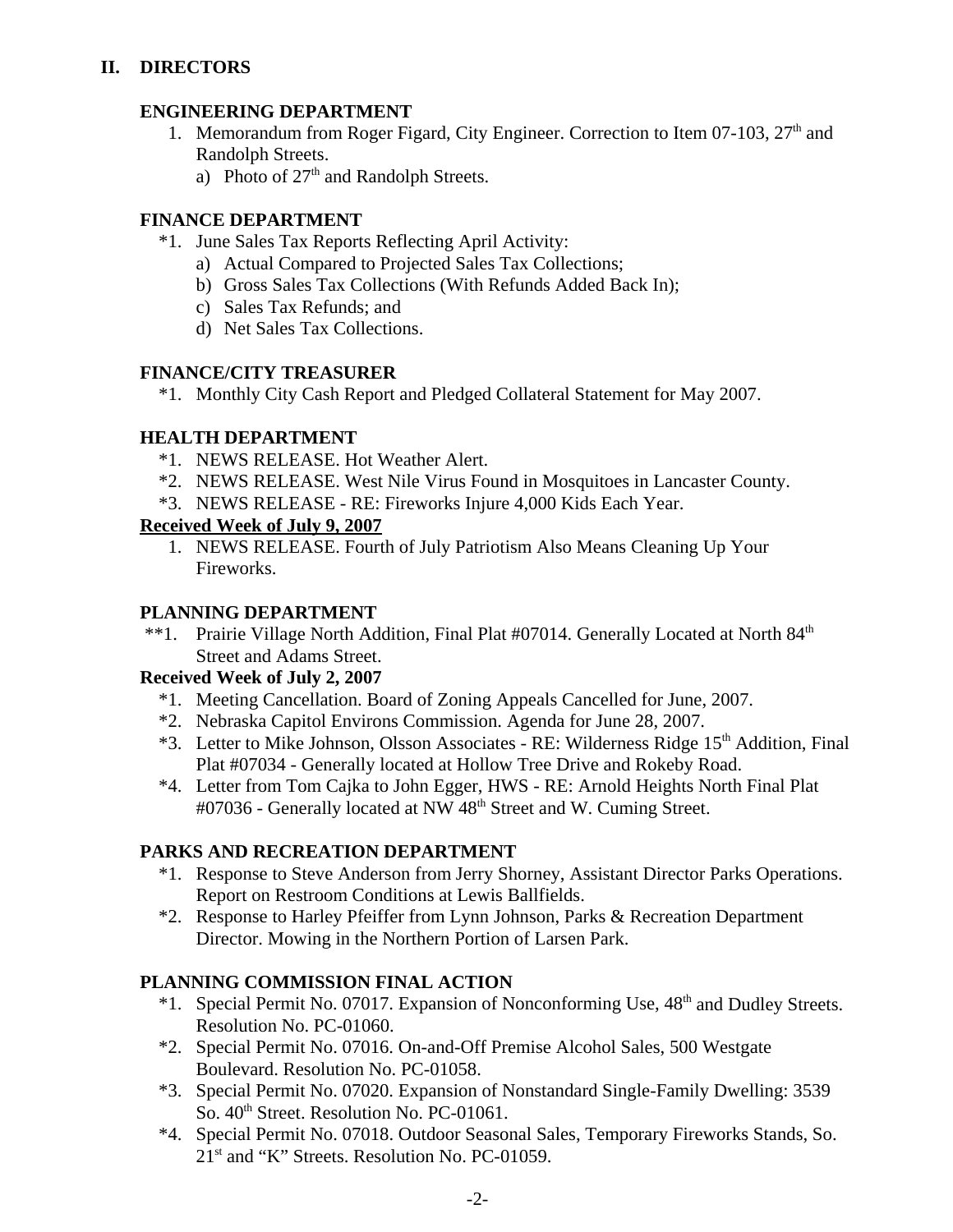## **ENGINEERING DEPARTMENT**

- 1. Memorandum from Roger Figard, City Engineer. Correction to Item 07-103,  $27<sup>th</sup>$  and Randolph Streets.
	- a) Photo of  $27<sup>th</sup>$  and Randolph Streets.

# **FINANCE DEPARTMENT**

- \*1. June Sales Tax Reports Reflecting April Activity:
	- a) Actual Compared to Projected Sales Tax Collections;
	- b) Gross Sales Tax Collections (With Refunds Added Back In);
	- c) Sales Tax Refunds; and
	- d) Net Sales Tax Collections.

## **FINANCE/CITY TREASURER**

\*1. Monthly City Cash Report and Pledged Collateral Statement for May 2007.

## **HEALTH DEPARTMENT**

- \*1. NEWS RELEASE. Hot Weather Alert.
- \*2. NEWS RELEASE. West Nile Virus Found in Mosquitoes in Lancaster County.
- \*3. NEWS RELEASE RE: Fireworks Injure 4,000 Kids Each Year.

# **Received Week of July 9, 2007**

1. NEWS RELEASE. Fourth of July Patriotism Also Means Cleaning Up Your Fireworks.

## **PLANNING DEPARTMENT**

\*\*1. Prairie Village North Addition, Final Plat #07014. Generally Located at North 84<sup>th</sup> Street and Adams Street.

# **Received Week of July 2, 2007**

- \*1. Meeting Cancellation. Board of Zoning Appeals Cancelled for June, 2007.
- \*2. Nebraska Capitol Environs Commission. Agenda for June 28, 2007.
- \*3. Letter to Mike Johnson, Olsson Associates RE: Wilderness Ridge 15<sup>th</sup> Addition, Final Plat #07034 - Generally located at Hollow Tree Drive and Rokeby Road.
- \*4. Letter from Tom Cajka to John Egger, HWS RE: Arnold Heights North Final Plat #07036 - Generally located at NW 48<sup>th</sup> Street and W. Cuming Street.

# **PARKS AND RECREATION DEPARTMENT**

- \*1. Response to Steve Anderson from Jerry Shorney, Assistant Director Parks Operations. Report on Restroom Conditions at Lewis Ballfields.
- \*2. Response to Harley Pfeiffer from Lynn Johnson, Parks & Recreation Department Director. Mowing in the Northern Portion of Larsen Park.

# **PLANNING COMMISSION FINAL ACTION**

- \*1. Special Permit No. 07017. Expansion of Nonconforming Use,  $48<sup>th</sup>$  and Dudley Streets. Resolution No. PC-01060.
- \*2. Special Permit No. 07016. On-and-Off Premise Alcohol Sales, 500 Westgate Boulevard. Resolution No. PC-01058.
- \*3. Special Permit No. 07020. Expansion of Nonstandard Single-Family Dwelling: 3539 So.  $40<sup>th</sup>$  Street. Resolution No. PC-01061.
- \*4. Special Permit No. 07018. Outdoor Seasonal Sales, Temporary Fireworks Stands, So.  $21<sup>st</sup>$  and "K" Streets. Resolution No. PC-01059.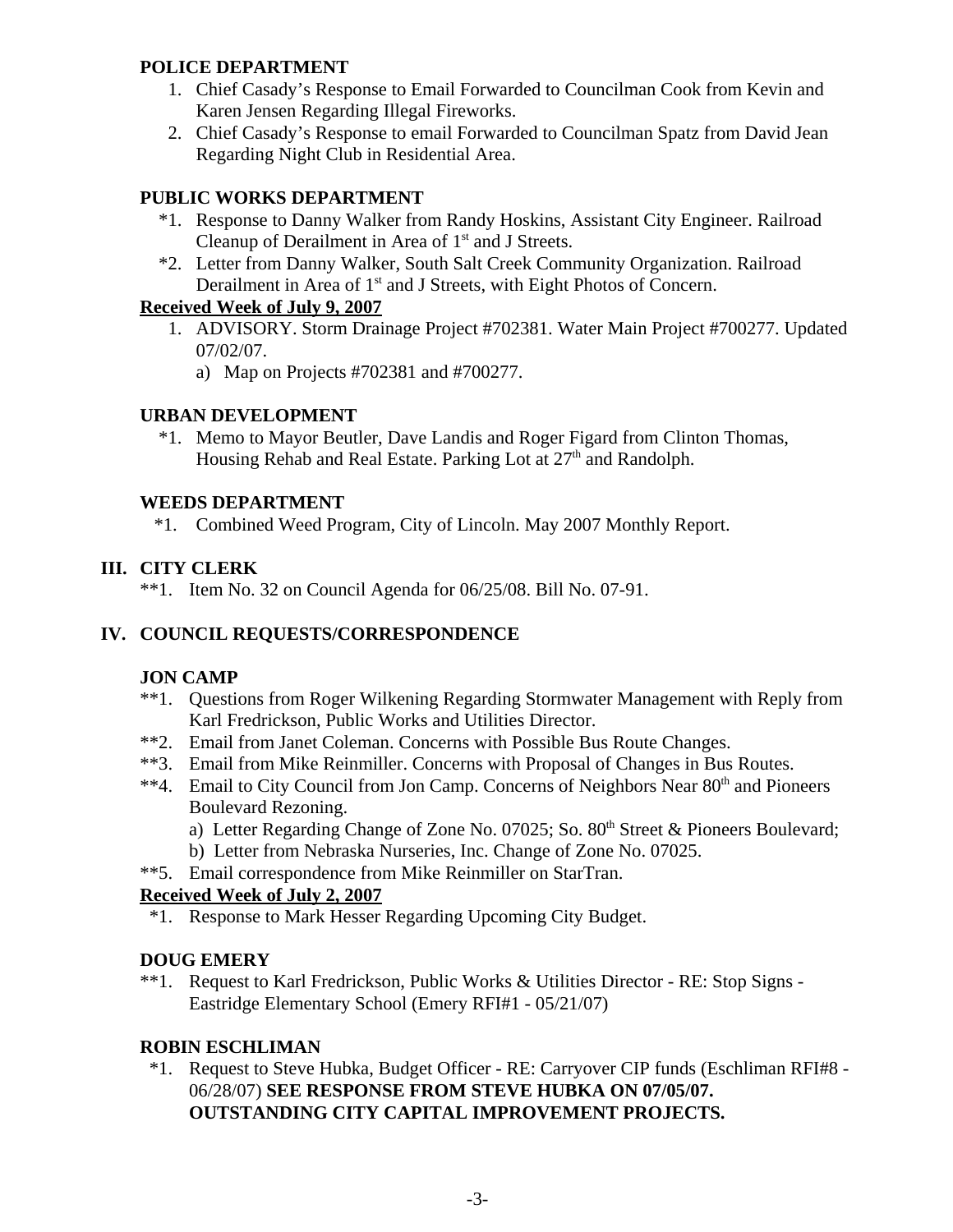#### **POLICE DEPARTMENT**

- 1. Chief Casady's Response to Email Forwarded to Councilman Cook from Kevin and Karen Jensen Regarding Illegal Fireworks.
- 2. Chief Casady's Response to email Forwarded to Councilman Spatz from David Jean Regarding Night Club in Residential Area.

# **PUBLIC WORKS DEPARTMENT**

- \*1. Response to Danny Walker from Randy Hoskins, Assistant City Engineer. Railroad Cleanup of Derailment in Area of  $1<sup>st</sup>$  and J Streets.
- \*2. Letter from Danny Walker, South Salt Creek Community Organization. Railroad Derailment in Area of 1<sup>st</sup> and J Streets, with Eight Photos of Concern.

## **Received Week of July 9, 2007**

- 1. ADVISORY. Storm Drainage Project #702381. Water Main Project #700277. Updated 07/02/07.
	- a) Map on Projects #702381 and #700277.

## **URBAN DEVELOPMENT**

 \*1. Memo to Mayor Beutler, Dave Landis and Roger Figard from Clinton Thomas, Housing Rehab and Real Estate. Parking Lot at 27<sup>th</sup> and Randolph.

#### **WEEDS DEPARTMENT**

\*1. Combined Weed Program, City of Lincoln. May 2007 Monthly Report.

# **III. CITY CLERK**

\*\*1. Item No. 32 on Council Agenda for 06/25/08. Bill No. 07-91.

# **IV. COUNCIL REQUESTS/CORRESPONDENCE**

# **JON CAMP**

- \*\*1. Questions from Roger Wilkening Regarding Stormwater Management with Reply from Karl Fredrickson, Public Works and Utilities Director.
- \*\*2. Email from Janet Coleman. Concerns with Possible Bus Route Changes.
- \*\*3. Email from Mike Reinmiller. Concerns with Proposal of Changes in Bus Routes.
- \*\*4. Email to City Council from Jon Camp. Concerns of Neighbors Near 80<sup>th</sup> and Pioneers Boulevard Rezoning.
	- a) Letter Regarding Change of Zone No. 07025; So.  $80<sup>th</sup>$  Street & Pioneers Boulevard;
	- b) Letter from Nebraska Nurseries, Inc. Change of Zone No. 07025.
- \*\*5. Email correspondence from Mike Reinmiller on StarTran.

## **Received Week of July 2, 2007**

\*1. Response to Mark Hesser Regarding Upcoming City Budget.

# **DOUG EMERY**

\*\*1. Request to Karl Fredrickson, Public Works & Utilities Director - RE: Stop Signs - Eastridge Elementary School (Emery RFI#1 - 05/21/07)

# **ROBIN ESCHLIMAN**

 \*1. Request to Steve Hubka, Budget Officer - RE: Carryover CIP funds (Eschliman RFI#8 - 06/28/07) **SEE RESPONSE FROM STEVE HUBKA ON 07/05/07. OUTSTANDING CITY CAPITAL IMPROVEMENT PROJECTS.**